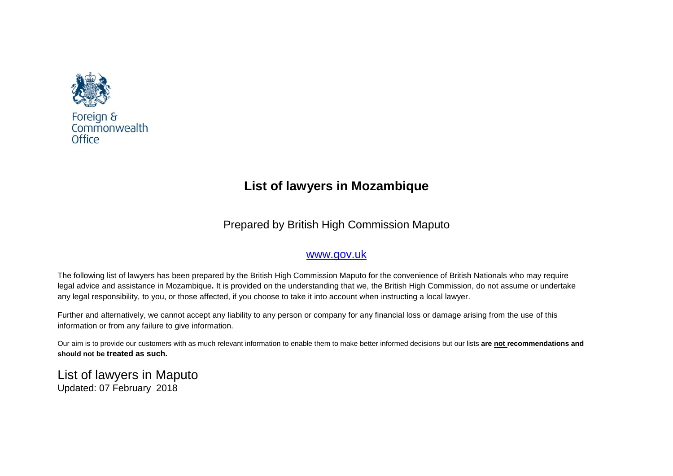

Foreign & Commonwealth Office

# **List of lawyers in Mozambique**

Prepared by British High Commission Maputo

# [www.gov.uk](http://www.gov.uk/)

The following list of lawyers has been prepared by the British High Commission Maputo for the convenience of British Nationals who may require legal advice and assistance in Mozambique**.** It is provided on the understanding that we, the British High Commission, do not assume or undertake any legal responsibility, to you, or those affected, if you choose to take it into account when instructing a local lawyer.

Further and alternatively, we cannot accept any liability to any person or company for any financial loss or damage arising from the use of this information or from any failure to give information.

Our aim is to provide our customers with as much relevant information to enable them to make better informed decisions but our lists **are not recommendations and should not be treated as such.**

List of lawyers in Maputo Updated: 07 February 2018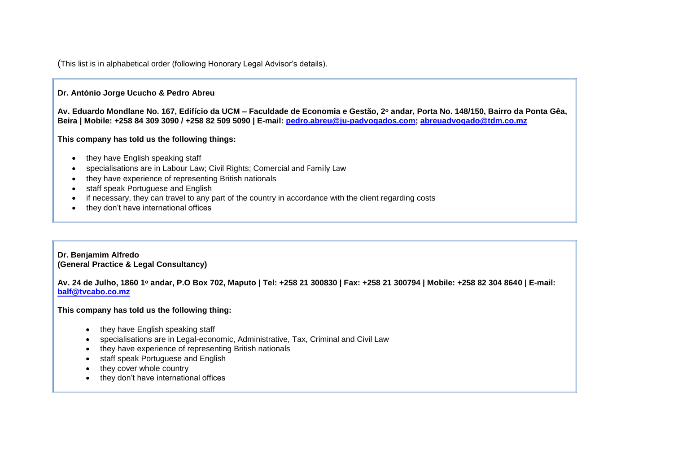(This list is in alphabetical order (following Honorary Legal Advisor's details).

#### **Dr. António Jorge Ucucho & Pedro Abreu**

**Av. Eduardo Mondlane No. 167, Edifício da UCM – Faculdade de Economia e Gestão, 2ᵒ andar, Porta No. 148/150, Bairro da Ponta Gêa, Beira | Mobile: +258 84 309 3090 / +258 82 509 5090 | E-mail: [pedro.abreu@ju-padvogados.com;](mailto:pedro.abreu@ju-padvogados.com) [abreuadvogado@tdm.co.mz](mailto:abreuadvogado@tdm.co.mz)**

**This company has told us the following things:**

- $\bullet$  they have English speaking staff
- specialisations are in Labour Law; Civil Rights; Comercial and Family Law
- they have experience of representing British nationals
- staff speak Portuguese and English
- if necessary, they can travel to any part of the country in accordance with the client regarding costs
- they don't have international offices

#### **Dr. Benjamim Alfredo (General Practice & Legal Consultancy)**

**Av. 24 de Julho, 1860 1ᵒ andar, P.O Box 702, Maputo | Tel: +258 21 300830 | Fax: +258 21 300794 | Mobile: +258 82 304 8640 | E-mail: [balf@tvcabo.co.mz](mailto:balf@tvcabo.co.mz)**

**This company has told us the following thing:**

- they have English speaking staff
- specialisations are in Legal-economic, Administrative, Tax, Criminal and Civil Law
- they have experience of representing British nationals
- staff speak Portuguese and English
- they cover whole country
- they don't have international offices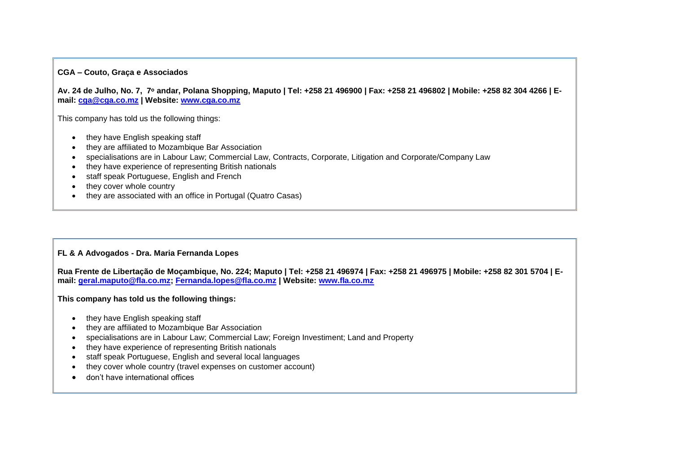#### **CGA – Couto, Graça e Associados**

**Av. 24 de Julho, No. 7, 7ᵒ andar, Polana Shopping, Maputo | Tel: +258 21 496900 | Fax: +258 21 496802 | Mobile: +258 82 304 4266 | Email: [cga@cga.co.mz](mailto:cga@cga.co.mz) | Website: [www.cga.co.mz](http://www.cga.co.mz/)**

This company has told us the following things:

- they have English speaking staff
- they are affiliated to Mozambique Bar Association
- specialisations are in Labour Law; Commercial Law, Contracts, Corporate, Litigation and Corporate/Company Law
- they have experience of representing British nationals
- staff speak Portuguese, English and French
- they cover whole country
- they are associated with an office in Portugal (Quatro Casas)

#### **FL & A Advogados - Dra. Maria Fernanda Lopes**

**Rua Frente de Libertação de Moçambique, No. 224; Maputo | Tel: +258 21 496974 | Fax: +258 21 496975 | Mobile: +258 82 301 5704 | Email: [geral.maputo@fla.co.mz;](mailto:geral.maputo@fla.co.mz) [Fernanda.lopes@fla.co.mz](mailto:Fernanda.lopes@fla.co.mz) | Website: [www.fla.co.mz](http://www.fla.co.mz/)**

#### **This company has told us the following things:**

- they have English speaking staff
- they are affiliated to Mozambique Bar Association
- specialisations are in Labour Law; Commercial Law; Foreign Investiment; Land and Property
- they have experience of representing British nationals
- staff speak Portuguese, English and several local languages
- they cover whole country (travel expenses on customer account)
- don't have international offices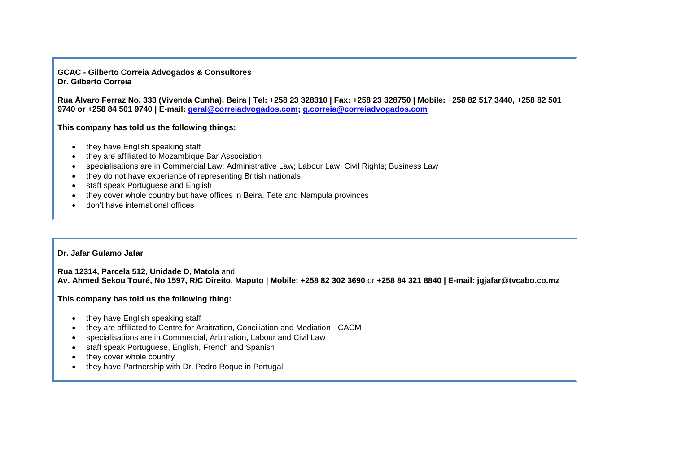**GCAC - Gilberto Correia Advogados & Consultores Dr. Gilberto Correia**

**Rua Álvaro Ferraz No. 333 (Vivenda Cunha), Beira | Tel: +258 23 328310 | Fax: +258 23 328750 | Mobile: +258 82 517 3440, +258 82 501 9740 or +258 84 501 9740 | E-mail: [geral@correiadvogados.com;](mailto:geral@correiadvogados.com) [g.correia@correiadvogados.com](mailto:g.correia@correiadvogados.com)**

**This company has told us the following things:**

- they have English speaking staff
- they are affiliated to Mozambique Bar Association
- specialisations are in Commercial Law; Administrative Law; Labour Law; Civil Rights; Business Law
- they do not have experience of representing British nationals
- staff speak Portuguese and English
- they cover whole country but have offices in Beira, Tete and Nampula provinces
- don't have international offices

#### **Dr. Jafar Gulamo Jafar**

**Rua 12314, Parcela 512, Unidade D, Matola** and; **Av. Ahmed Sekou Touré, No 1597, R/C Direito, Maputo | Mobile: +258 82 302 3690** or **+258 84 321 8840 | E-mail: jgjafar@tvcabo.co.mz** 

**This company has told us the following thing:**

- they have English speaking staff
- they are affiliated to Centre for Arbitration, Conciliation and Mediation CACM
- specialisations are in Commercial, Arbitration, Labour and Civil Law
- staff speak Portuguese, English, French and Spanish
- they cover whole country
- they have Partnership with Dr. Pedro Roque in Portugal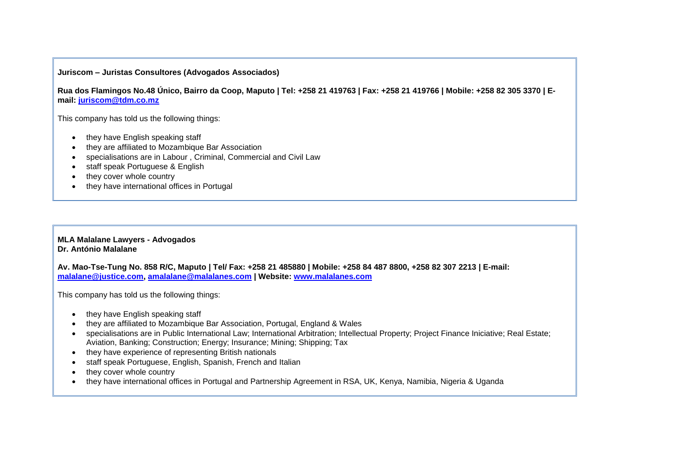#### **Juriscom – Juristas Consultores (Advogados Associados)**

**Rua dos Flamingos No.48 Único, Bairro da Coop, Maputo | Tel: +258 21 419763 | Fax: +258 21 419766 | Mobile: +258 82 305 3370 | Email: [juriscom@tdm.co.mz](mailto:juriscom@tdm.co.mz)**

This company has told us the following things:

- they have English speaking staff
- they are affiliated to Mozambique Bar Association
- specialisations are in Labour , Criminal, Commercial and Civil Law
- staff speak Portuguese & English
- they cover whole country
- they have international offices in Portugal

#### **MLA Malalane Lawyers - Advogados Dr. António Malalane**

**Av. Mao-Tse-Tung No. 858 R/C, Maputo | Tel/ Fax: +258 21 485880 | Mobile: +258 84 487 8800, +258 82 307 2213 | E-mail: [malalane@justice.com,](mailto:malalane@justice.com) [amalalane@malalanes.com](mailto:amalalane@malalanes.com) | Website: [www.malalanes.com](http://www.malalanes.com/)**

This company has told us the following things:

- they have English speaking staff
- they are affiliated to Mozambique Bar Association, Portugal, England & Wales
- specialisations are in Public International Law; International Arbitration; Intellectual Property; Project Finance Iniciative; Real Estate; Aviation, Banking; Construction; Energy; Insurance; Mining; Shipping; Tax
- they have experience of representing British nationals
- staff speak Portuguese, English, Spanish, French and Italian
- they cover whole country
- they have international offices in Portugal and Partnership Agreement in RSA, UK, Kenya, Namibia, Nigeria & Uganda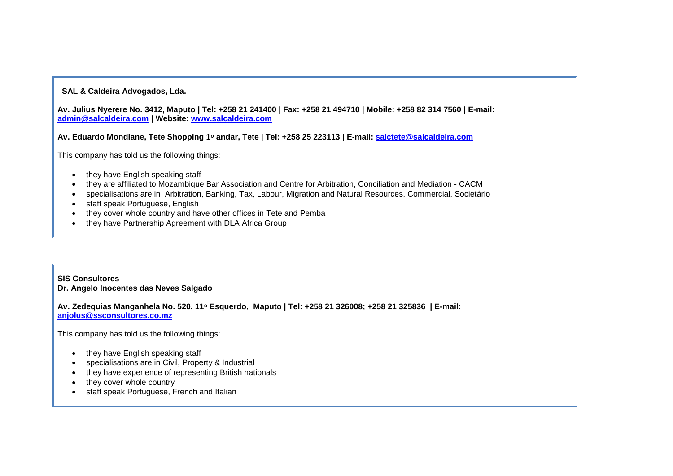#### **SAL & Caldeira Advogados, Lda.**

**Av. Julius Nyerere No. 3412, Maputo | Tel: +258 21 241400 | Fax: +258 21 494710 | Mobile: +258 82 314 7560 | E-mail: [admin@salcaldeira.com](mailto:admin@salcaldeira.com) | Website: [www.salcaldeira.com](http://www.salcaldeira.com/)**

**Av. Eduardo Mondlane, Tete Shopping 1ᵒ andar, Tete | Tel: +258 25 223113 | E-mail: [salctete@salcaldeira.com](mailto:salctete@salcaldeira.com)**

This company has told us the following things:

- they have English speaking staff
- they are affiliated to Mozambique Bar Association and Centre for Arbitration, Conciliation and Mediation CACM
- specialisations are in Arbitration, Banking, Tax, Labour, Migration and Natural Resources, Commercial, Societário
- staff speak Portuguese, English
- they cover whole country and have other offices in Tete and Pemba
- they have Partnership Agreement with DLA Africa Group

**SIS Consultores Dr. Angelo Inocentes das Neves Salgado**

**Av. Zedequias Manganhela No. 520, 11ᵒ Esquerdo, Maputo | Tel: +258 21 326008; +258 21 325836 | E-mail: [anjolus@ssconsultores.co.mz](mailto:anjolus@ssconsultores.co.mz)**

This company has told us the following things:

- they have English speaking staff
- specialisations are in Civil, Property & Industrial
- they have experience of representing British nationals
- they cover whole country
- staff speak Portuguese, French and Italian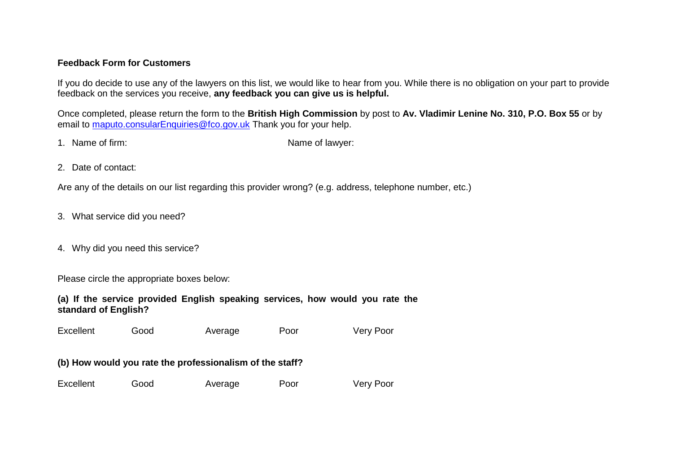### **Feedback Form for Customers**

If you do decide to use any of the lawyers on this list, we would like to hear from you. While there is no obligation on your part to provide feedback on the services you receive, **any feedback you can give us is helpful.**

Once completed, please return the form to the **British High Commission** by post to **Av. Vladimir Lenine No. 310, P.O. Box 55** or by email to [maputo.consularEnquiries@fco.gov.uk](mailto:maputo.consularEnquiries@fco.gov.uk) Thank you for your help.

1. Name of firm:  $\blacksquare$  Name of lawyer:

2. Date of contact:

Are any of the details on our list regarding this provider wrong? (e.g. address, telephone number, etc.)

- 3. What service did you need?
- 4. Why did you need this service?

Please circle the appropriate boxes below:

**(a) If the service provided English speaking services, how would you rate the standard of English?**

Excellent Good Average Poor Very Poor

## **(b) How would you rate the professionalism of the staff?**

| Excellent | Good | Average | Poor | Very Poor |
|-----------|------|---------|------|-----------|
|-----------|------|---------|------|-----------|